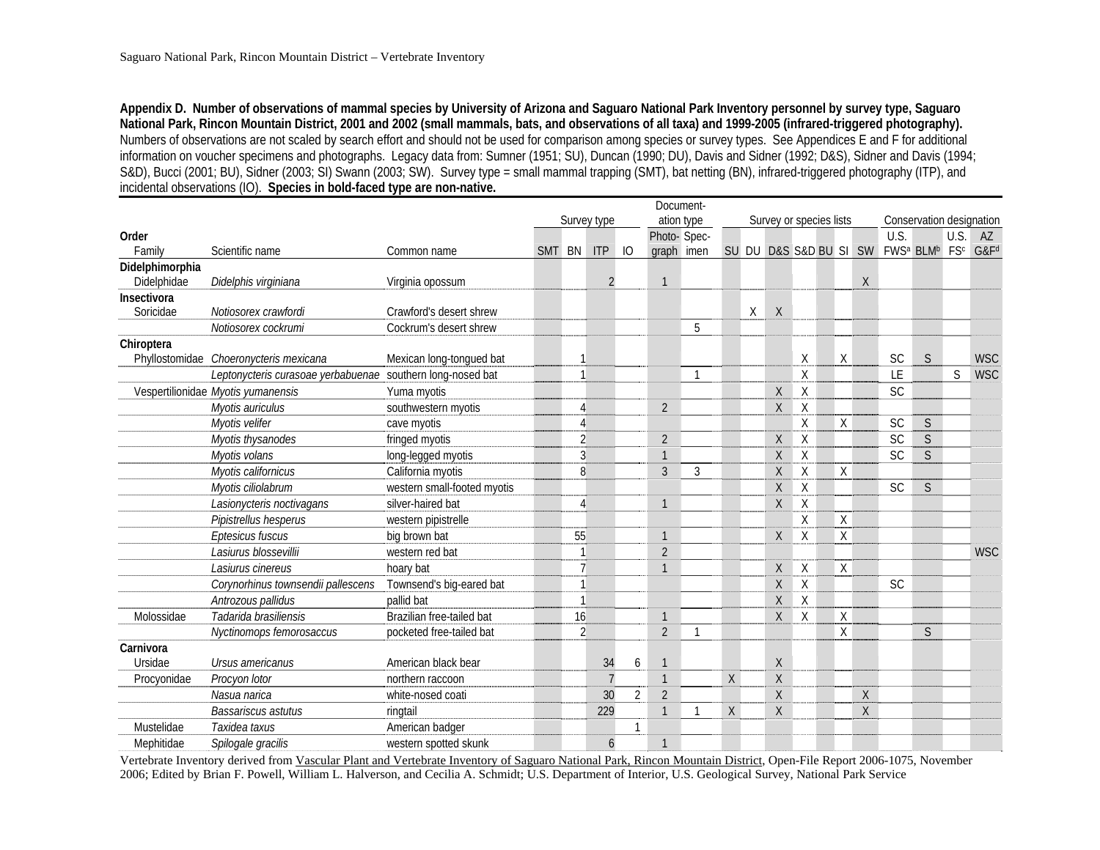**Appendix D. Number of observations of mammal species by University of Arizona and Saguaro National Park Inventory personnel by survey type, Saguaro National Park, Rincon Mountain District, 2001 and 2002 (small mammals, bats, and observations of all taxa) and 1999-2005 (infrared-triggered photography).** Numbers of observations are not scaled by search effort and should not be used for comparison among species or survey types. See Appendices E and F for additional information on voucher specimens and photographs. Legacy data from: Sumner (1951; SU), Duncan (1990; DU), Davis and Sidner (1992; D&S), Sidner and Davis (1994; S&D), Bucci (2001; BU), Sidner (2003; SI) Swann (2003; SW). Survey type = small mammal trapping (SMT), bat netting (BN), infrared-triggered photography (ITP), and incidental observations (IO). **Species in bold-faced type are non-native.** 

|                 | Document-                                                  |                             |        |                |                |                 |                |              |   |   |                         |                          |              |   |                                                   |   |              |                  |
|-----------------|------------------------------------------------------------|-----------------------------|--------|----------------|----------------|-----------------|----------------|--------------|---|---|-------------------------|--------------------------|--------------|---|---------------------------------------------------|---|--------------|------------------|
|                 |                                                            |                             |        |                | Survey type    |                 | ation type     |              |   |   | Survey or species lists | Conservation designation |              |   |                                                   |   |              |                  |
| Order           |                                                            |                             |        |                |                |                 | Photo- Spec-   |              |   |   |                         |                          |              |   | U.S.                                              |   | U.S.         | AZ               |
| Family          | Scientific name                                            | Common name                 | SMT BN |                | ITP            | $\overline{10}$ | graph imen     |              |   |   |                         | SU DU D&S S&D BU SI SW   |              |   | FWS <sup>a</sup> BLM <sup>b</sup> FS <sup>c</sup> |   |              | G&F <sup>d</sup> |
| Didelphimorphia |                                                            |                             |        |                |                |                 |                |              |   |   |                         |                          |              |   |                                                   |   |              |                  |
| Didelphidae     | Didelphis virginiana                                       | Virginia opossum            |        |                | $\overline{2}$ |                 | $\mathbf{1}$   |              |   |   |                         |                          |              | X |                                                   |   |              |                  |
| Insectivora     |                                                            |                             |        |                |                |                 |                |              |   |   |                         |                          |              |   |                                                   |   |              |                  |
| Soricidae       | Notiosorex crawfordi                                       | Crawford's desert shrew     |        |                |                |                 |                |              |   | Χ | $\mathsf{X}$            |                          |              |   |                                                   |   |              |                  |
|                 | Notiosorex cockrumi                                        | Cockrum's desert shrew      |        |                |                |                 |                | 5            |   |   |                         |                          |              |   |                                                   |   |              |                  |
| Chiroptera      |                                                            |                             |        |                |                |                 |                |              |   |   |                         |                          |              |   |                                                   |   |              |                  |
| Phyllostomidae  | Choeronycteris mexicana                                    | Mexican long-tongued bat    |        |                |                |                 |                |              |   |   |                         | X                        | X            |   | <b>SC</b>                                         | S |              | <b>WSC</b>       |
|                 | Leptonycteris curasoae yerbabuenae southern long-nosed bat |                             |        |                |                |                 |                | $\mathbf{1}$ |   |   |                         | X                        |              |   | LE                                                |   | $\mathsf{S}$ | <b>WSC</b>       |
|                 | Vespertilionidae Myotis yumanensis                         | Yuma myotis                 |        |                |                |                 |                |              |   |   | X                       | X                        |              |   | <b>SC</b>                                         |   |              |                  |
|                 | Myotis auriculus                                           | southwestern myotis         |        |                |                |                 | $\overline{2}$ |              |   |   | Χ                       | X                        |              |   |                                                   |   |              |                  |
|                 | Myotis velifer                                             | cave myotis                 |        |                |                |                 |                |              |   |   |                         | X                        | X            |   | SC                                                | S |              |                  |
|                 | Myotis thysanodes                                          | fringed myotis              |        | $\overline{2}$ |                |                 | $\overline{2}$ |              |   |   | $\mathsf X$             | X                        |              |   | SC                                                | S |              |                  |
|                 | Myotis volans                                              | long-legged myotis          |        | 3              |                |                 | $\overline{1}$ |              |   |   | X                       | $\mathsf X$              |              |   | SC                                                | S |              |                  |
|                 | Myotis californicus                                        | California myotis           |        | 8              |                |                 | $\mathfrak{Z}$ | 3            |   |   | X                       | X                        | $\mathsf X$  |   |                                                   |   |              |                  |
|                 | Myotis ciliolabrum                                         | western small-footed myotis |        |                |                |                 |                |              |   |   | X                       | X                        |              |   | <b>SC</b>                                         | S |              |                  |
|                 | Lasionycteris noctivagans                                  | silver-haired bat           |        |                |                |                 | $\mathbf{1}$   |              |   |   | X                       | X                        |              |   |                                                   |   |              |                  |
|                 | Pipistrellus hesperus                                      | western pipistrelle         |        |                |                |                 |                |              |   |   |                         | X                        | $\mathsf{X}$ |   |                                                   |   |              |                  |
|                 | Eptesicus fuscus                                           | big brown bat               |        | 55             |                |                 | $\mathbf{1}$   |              |   |   | X                       | X                        | X            |   |                                                   |   |              |                  |
|                 | Lasiurus blossevillii                                      | western red bat             |        |                |                |                 | $\overline{2}$ |              |   |   |                         |                          |              |   |                                                   |   |              | <b>WSC</b>       |
|                 | Lasiurus cinereus                                          | hoary bat                   |        | $\overline{7}$ |                |                 | $\mathbf{1}$   |              |   |   | X                       | X                        | X            |   |                                                   |   |              |                  |
|                 | Corynorhinus townsendii pallescens                         | Townsend's big-eared bat    |        |                |                |                 |                |              |   |   | $\chi$                  | X                        |              |   | <b>SC</b>                                         |   |              |                  |
|                 | Antrozous pallidus                                         | pallid bat                  |        |                |                |                 |                |              |   |   | $\chi$                  | X                        |              |   |                                                   |   |              |                  |
| Molossidae      | Tadarida brasiliensis                                      | Brazilian free-tailed bat   |        | 16             |                |                 | $\mathbf{1}$   |              |   |   | X                       | X                        | Χ            |   |                                                   |   |              |                  |
|                 | Nyctinomops femorosaccus                                   | pocketed free-tailed bat    |        | $\overline{2}$ |                |                 | $\overline{2}$ | -1           |   |   |                         |                          | χ            |   |                                                   | S |              |                  |
| Carnivora       |                                                            |                             |        |                |                |                 |                |              |   |   |                         |                          |              |   |                                                   |   |              |                  |
| Ursidae         | Ursus americanus                                           | American black bear         |        |                | 34             | 6               | $\mathbf{1}$   |              |   |   | Χ                       |                          |              |   |                                                   |   |              |                  |
| Procyonidae     | Procyon lotor                                              | northern raccoon            |        |                | $\overline{7}$ |                 | $\mathbf{1}$   |              | X |   | Χ                       |                          |              |   |                                                   |   |              |                  |
|                 | Nasua narica                                               | white-nosed coati           |        |                | 30             | $\overline{2}$  | $\overline{2}$ |              |   |   | $\chi$                  |                          |              | X |                                                   |   |              |                  |
|                 | <b>Bassariscus astutus</b>                                 | ringtail                    |        |                | 229            |                 | $\mathbf{1}$   |              | X |   | X                       |                          |              | X |                                                   |   |              |                  |
| Mustelidae      | Taxidea taxus                                              | American badger             |        |                |                | 1               |                |              |   |   |                         |                          |              |   |                                                   |   |              |                  |
| Mephitidae      | Spilogale gracilis                                         | western spotted skunk       |        |                | $\mathfrak b$  |                 | $\mathbf{1}$   |              |   |   |                         |                          |              |   |                                                   |   |              |                  |

Vertebrate Inventory derived from Vascular Plant and Vertebrate Inventory of Saguaro National Park, Rincon Mountain District, Open-File Report 2006-1075, November 2006; Edited by Brian F. Powell, William L. Halverson, and Cecilia A. Schmidt; U.S. Department of Interior, U.S. Geological Survey, National Park Service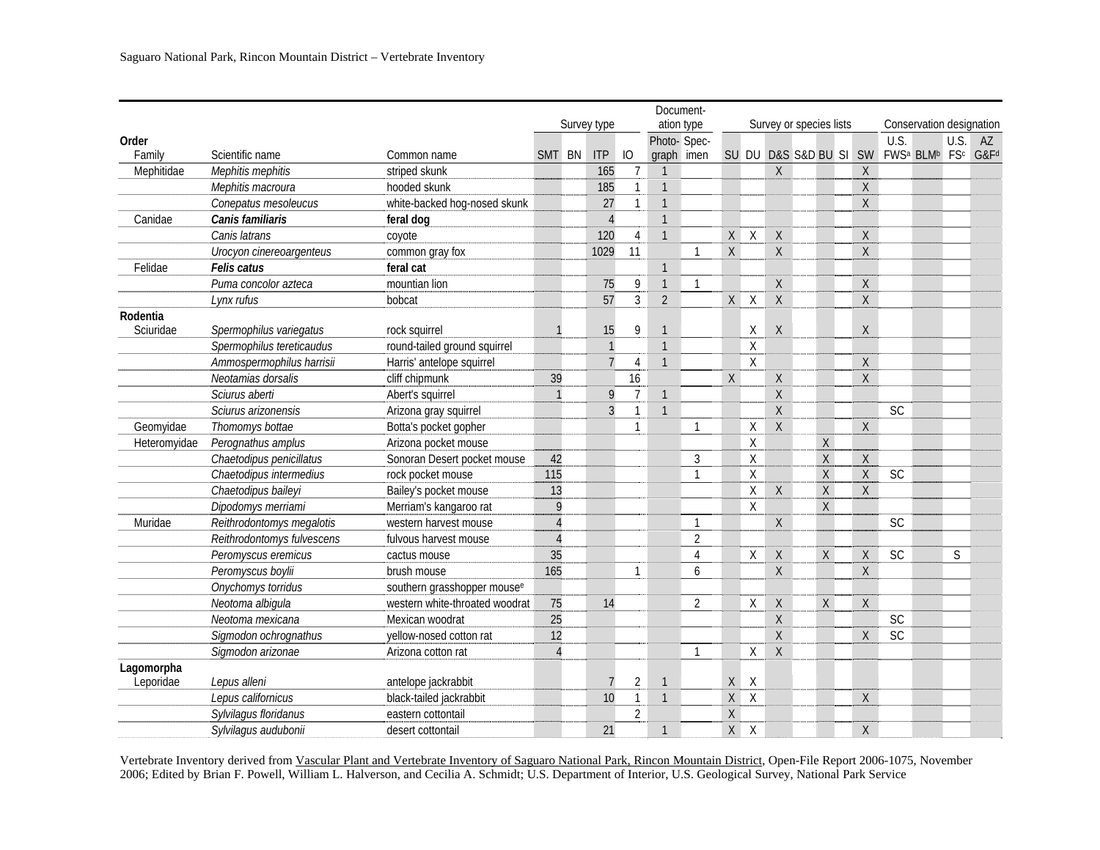|              |                            | Document-                               |                |    |                |                  |                |                |                    |                    |                         |  |                        |              |                                   |                          |                 |                  |  |  |  |  |  |  |  |
|--------------|----------------------------|-----------------------------------------|----------------|----|----------------|------------------|----------------|----------------|--------------------|--------------------|-------------------------|--|------------------------|--------------|-----------------------------------|--------------------------|-----------------|------------------|--|--|--|--|--|--|--|
|              |                            |                                         | Survey type    |    |                |                  |                | ation type     |                    |                    | Survey or species lists |  |                        |              |                                   | Conservation designation |                 |                  |  |  |  |  |  |  |  |
| Order        |                            |                                         |                |    |                |                  |                | Photo- Spec-   |                    |                    |                         |  |                        |              | U.S.                              |                          | U.S.            | AZ               |  |  |  |  |  |  |  |
| Family       | Scientific name            | Common name                             | <b>SMT</b>     | BN | <b>ITP</b>     | IO               | graph imen     |                |                    |                    |                         |  | SU DU D&S S&D BU SI SW |              | FWS <sup>a</sup> BLM <sup>b</sup> |                          | FS <sup>c</sup> | G&F <sup>d</sup> |  |  |  |  |  |  |  |
| Mephitidae   | Mephitis mephitis          | striped skunk                           |                |    | 165            | $7\overline{ }$  | $\overline{1}$ |                |                    |                    | $\sf X$                 |  |                        | $\mathsf X$  |                                   |                          |                 |                  |  |  |  |  |  |  |  |
|              | Mephitis macroura          | hooded skunk                            |                |    | 185            | $\mathbf{1}$     | $\mathbf{1}$   |                |                    |                    |                         |  |                        | Χ            |                                   |                          |                 |                  |  |  |  |  |  |  |  |
|              | Conepatus mesoleucus       | white-backed hog-nosed skunk            |                |    | 27             | $\mathbf{1}$     | $\mathbf{1}$   |                |                    |                    |                         |  |                        | X            |                                   |                          |                 |                  |  |  |  |  |  |  |  |
| Canidae      | Canis familiaris           | feral dog                               |                |    | $\overline{4}$ |                  | $\mathbf{1}$   |                |                    |                    |                         |  |                        |              |                                   |                          |                 |                  |  |  |  |  |  |  |  |
|              | Canis latrans              | coyote                                  |                |    | 120            | 4                | $\mathbf{1}$   |                | X                  | $\mathsf{X}$       | X                       |  |                        | Χ            |                                   |                          |                 |                  |  |  |  |  |  |  |  |
|              | Urocyon cinereoargenteus   | common gray fox                         |                |    | 1029           | 11               |                | $\mathbf{1}$   | $\mathsf{X}% _{0}$ |                    | $\sf X$                 |  |                        | $\mathsf X$  |                                   |                          |                 |                  |  |  |  |  |  |  |  |
| Felidae      | Felis catus                | feral cat                               |                |    |                |                  | $\mathbf{1}$   |                |                    |                    |                         |  |                        |              |                                   |                          |                 |                  |  |  |  |  |  |  |  |
|              | Puma concolor azteca       | mountian lion                           |                |    | 75             | $\boldsymbol{9}$ | $\mathbf{1}$   |                |                    |                    | Χ                       |  |                        | X            |                                   |                          |                 |                  |  |  |  |  |  |  |  |
|              | Lynx rufus                 | bobcat                                  |                |    | 57             | $\overline{3}$   | $\overline{2}$ |                | X                  | $\chi$             | $\sf X$                 |  |                        | $\mathsf X$  |                                   |                          |                 |                  |  |  |  |  |  |  |  |
| Rodentia     |                            |                                         |                |    |                |                  |                |                |                    |                    |                         |  |                        |              |                                   |                          |                 |                  |  |  |  |  |  |  |  |
| Sciuridae    | Spermophilus variegatus    | rock squirrel                           |                |    | 15             | 9                | $\mathbf{1}$   |                |                    | X                  | $\chi$                  |  |                        | Χ            |                                   |                          |                 |                  |  |  |  |  |  |  |  |
|              | Spermophilus tereticaudus  | round-tailed ground squirrel            |                |    | $\mathbf{1}$   |                  | $\mathbf{1}$   |                |                    | Χ                  |                         |  |                        |              |                                   |                          |                 |                  |  |  |  |  |  |  |  |
|              | Ammospermophilus harrisii  | Harris' antelope squirrel               |                |    | $\overline{7}$ | 4                | $\mathbf{1}$   |                |                    | $\mathsf{X}$       |                         |  |                        | Χ            |                                   |                          |                 |                  |  |  |  |  |  |  |  |
|              | Neotamias dorsalis         | cliff chipmunk                          | 39             |    |                | 16               |                |                | $\mathsf{X}$       |                    | Χ                       |  |                        | $\mathsf X$  |                                   |                          |                 |                  |  |  |  |  |  |  |  |
|              | Sciurus aberti             | Abert's squirrel                        | $\mathbf{1}$   |    | 9              | $\overline{7}$   | $\mathbf{1}$   |                |                    |                    | $\sf X$                 |  |                        |              |                                   |                          |                 |                  |  |  |  |  |  |  |  |
|              | Sciurus arizonensis        | Arizona gray squirrel                   |                |    | $\overline{3}$ | $\mathbf{1}$     | $\mathbf{1}$   |                |                    |                    | $\overline{X}$          |  |                        |              | <b>SC</b>                         |                          |                 |                  |  |  |  |  |  |  |  |
| Geomyidae    | Thomomys bottae            | Botta's pocket gopher                   |                |    |                | $\mathbf{1}$     |                | $\mathbf{1}$   |                    | X                  | $\mathsf{X}$            |  |                        | X            |                                   |                          |                 |                  |  |  |  |  |  |  |  |
| Heteromyidae | Perognathus amplus         | Arizona pocket mouse                    |                |    |                |                  |                |                |                    | X                  |                         |  | X                      |              |                                   |                          |                 |                  |  |  |  |  |  |  |  |
|              | Chaetodipus penicillatus   | Sonoran Desert pocket mouse             | 42             |    |                |                  |                | $\mathfrak{Z}$ |                    | $\mathsf{X}$       |                         |  | X                      | $\mathsf X$  |                                   |                          |                 |                  |  |  |  |  |  |  |  |
|              | Chaetodipus intermedius    | rock pocket mouse                       | 115            |    |                |                  |                | $\mathbf{1}$   |                    | $\sf X$            |                         |  | $\mathsf{X}$           | $\mathsf X$  | <b>SC</b>                         |                          |                 |                  |  |  |  |  |  |  |  |
|              | Chaetodipus baileyi        | Bailey's pocket mouse                   | 13             |    |                |                  |                |                |                    | $\mathsf{X}% _{0}$ | $\mathsf{X}$            |  | X                      | $\mathsf{X}$ |                                   |                          |                 |                  |  |  |  |  |  |  |  |
|              | Dipodomys merriami         | Merriam's kangaroo rat                  | 9              |    |                |                  |                |                |                    | X                  |                         |  | X                      |              |                                   |                          |                 |                  |  |  |  |  |  |  |  |
| Muridae      | Reithrodontomys megalotis  | western harvest mouse                   | $\overline{4}$ |    |                |                  |                | $\mathbf{1}$   |                    |                    | $\mathsf X$             |  |                        |              | <b>SC</b>                         |                          |                 |                  |  |  |  |  |  |  |  |
|              | Reithrodontomys fulvescens | fulvous harvest mouse                   | $\overline{A}$ |    |                |                  |                | $\overline{2}$ |                    |                    |                         |  |                        |              |                                   |                          |                 |                  |  |  |  |  |  |  |  |
|              | Peromyscus eremicus        | cactus mouse                            | 35             |    |                |                  |                | $\overline{4}$ |                    | X                  | $\sf X$                 |  | X                      | $\mathsf X$  | <b>SC</b>                         |                          | $\mathsf{S}$    |                  |  |  |  |  |  |  |  |
|              | Peromyscus boylii          | brush mouse                             | 165            |    |                | $\mathbf{1}$     |                | 6              |                    |                    | X                       |  |                        | X            |                                   |                          |                 |                  |  |  |  |  |  |  |  |
|              | Onychomys torridus         | southern grasshopper mouse <sup>e</sup> |                |    |                |                  |                |                |                    |                    |                         |  |                        |              |                                   |                          |                 |                  |  |  |  |  |  |  |  |
|              | Neotoma albiqula           | western white-throated woodrat          | 75             |    | 14             |                  |                | 2              |                    | X                  | X                       |  | X                      | Χ            |                                   |                          |                 |                  |  |  |  |  |  |  |  |
|              | Neotoma mexicana           | Mexican woodrat                         | 25             |    |                |                  |                |                |                    |                    | $\sf X$                 |  |                        |              | <b>SC</b>                         |                          |                 |                  |  |  |  |  |  |  |  |
|              | Sigmodon ochrognathus      | yellow-nosed cotton rat                 | 12             |    |                |                  |                |                |                    |                    | $\mathsf X$             |  |                        | X            | SC                                |                          |                 |                  |  |  |  |  |  |  |  |
|              | Sigmodon arizonae          | Arizona cotton rat                      | $\Delta$       |    |                |                  |                | $\mathbf{1}$   |                    | X                  | $\chi$                  |  |                        |              |                                   |                          |                 |                  |  |  |  |  |  |  |  |
| Lagomorpha   |                            |                                         |                |    |                |                  |                |                |                    |                    |                         |  |                        |              |                                   |                          |                 |                  |  |  |  |  |  |  |  |
| Leporidae    | Lepus alleni               | antelope jackrabbit                     |                |    | $\overline{7}$ | $\overline{2}$   | $\mathbf{1}$   |                | X                  | X                  |                         |  |                        |              |                                   |                          |                 |                  |  |  |  |  |  |  |  |
|              | Lepus californicus         | black-tailed jackrabbit                 |                |    | 10             | $\mathbf{1}$     | $\mathbf{1}$   |                | X                  | $\chi$             |                         |  |                        | $\mathsf X$  |                                   |                          |                 |                  |  |  |  |  |  |  |  |
|              | Sylvilagus floridanus      | eastern cottontail                      |                |    |                | $\overline{2}$   |                |                | $\mathsf X$        |                    |                         |  |                        |              |                                   |                          |                 |                  |  |  |  |  |  |  |  |
|              | Sylvilagus audubonii       | desert cottontail                       |                |    | 21             |                  | $\mathbf{1}$   |                | X                  | X                  |                         |  |                        | X            |                                   |                          |                 |                  |  |  |  |  |  |  |  |

Vertebrate Inventory derived from Vascular Plant and Vertebrate Inventory of Saguaro National Park, Rincon Mountain District, Open-File Report 2006-1075, November 2006; Edited by Brian F. Powell, William L. Halverson, and Cecilia A. Schmidt; U.S. Department of Interior, U.S. Geological Survey, National Park Service